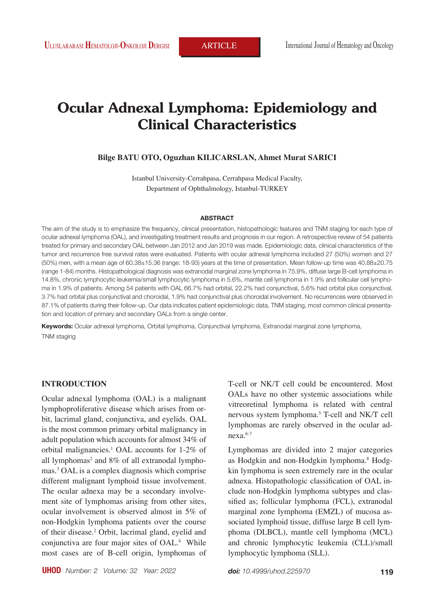# **Ocular Adnexal Lymphoma: Epidemiology and Clinical Characteristics**

#### **Bilge BATU OTO, Oguzhan KILICARSLAN, Ahmet Murat SARICI**

Istanbul University-Cerrahpasa, Cerrahpasa Medical Faculty, Department of Ophthalmology, Istanbul-TURKEY

#### **ABSTRACT**

The aim of the study is to emphasize the frequency, clinical presentation, histopathologic features and TNM staging for each type of ocular adnexal lymphoma (OAL), and investigating treatment results and prognosis in our region. A retrospective review of 54 patients treated for primary and secondary OAL between Jan 2012 and Jan 2019 was made. Epidemiologic data, clinical characteristics of the tumor and recurrence free survival rates were evaluated. Patients with ocular adnexal lymphoma included 27 (50%) women and 27 (50%) men, with a mean age of 60.38±15.36 (range: 18-93) years at the time of presentation. Mean follow-up time was 40.88±20.75 (range 1-84) months. Histopathological diagnosis was extranodal marginal zone lymphoma in 75.9%, diffuse large B-cell lymphoma in 14.8%, chronic lymphocytic leukemia/small lymphocytic lymphoma in 5.6%, mantle cell lymphoma in 1.9% and follicular cell lymphoma in 1.9% of patients. Among 54 patients with OAL 66.7% had orbital, 22.2% had conjunctival, 5.6% had orbital plus conjunctival, 3.7% had orbital plus conjunctival and choroidal, 1.9% had conjunctival plus choroidal involvement. No recurrences were observed in 87.1% of patients during their follow-up. Our data indicates patient epidemiologic data, TNM staging, most common clinical presentation and location of primary and secondary OALs from a single center.

**Keywords:** Ocular adnexal lymphoma, Orbital lymphoma, Conjunctival lymphoma, Extranodal marginal zone lymphoma, TNM staging

# **INTRODUCTION**

Ocular adnexal lymphoma (OAL) is a malignant lymphoproliferative disease which arises from orbit, lacrimal gland, conjunctiva, and eyelids. OAL is the most common primary orbital malignancy in adult population which accounts for almost 34% of orbital malignancies.1 OAL accounts for 1-2% of all lymphomas<sup>2</sup> and 8% of all extranodal lymphomas.3 OAL is a complex diagnosis which comprise different malignant lymphoid tissue involvement. The ocular adnexa may be a secondary involvement site of lymphomas arising from other sites, ocular involvement is observed almost in 5% of non-Hodgkin lymphoma patients over the course of their disease.<sup>2</sup> Orbit, lacrimal gland, eyelid and conjunctiva are four major sites of OAL.4 While most cases are of B-cell origin, lymphomas of

T-cell or NK/T cell could be encountered. Most OALs have no other systemic associations while vitreoretinal lymphoma is related with central nervous system lymphoma.5 T-cell and NK/T cell lymphomas are rarely observed in the ocular ad $nexa.<sup>6-7</sup>$ 

Lymphomas are divided into 2 major categories as Hodgkin and non-Hodgkin lymphoma.<sup>8</sup> Hodgkin lymphoma is seen extremely rare in the ocular adnexa. Histopathologic classification of OAL include non-Hodgkin lymphoma subtypes and classified as; follicular lymphoma (FCL), extranodal marginal zone lymphoma (EMZL) of mucosa associated lymphoid tissue, diffuse large B cell lymphoma (DLBCL), mantle cell lymphoma (MCL) and chronic lymphocytic leukemia (CLL)/small lymphocytic lymphoma (SLL).

*doi: 10.4999/uhod.225970*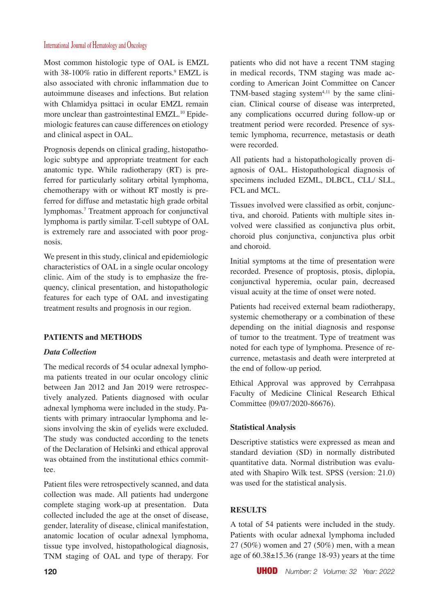Most common histologic type of OAL is EMZL with  $38-100\%$  ratio in different reports.<sup>9</sup> EMZL is also associated with chronic inflammation due to autoimmune diseases and infections. But relation with Chlamidya psittaci in ocular EMZL remain more unclear than gastrointestinal EMZL.<sup>10</sup> Epidemiologic features can cause differences on etiology and clinical aspect in OAL.

Prognosis depends on clinical grading, histopathologic subtype and appropriate treatment for each anatomic type. While radiotherapy (RT) is preferred for particularly solitary orbital lymphoma, chemotherapy with or without RT mostly is preferred for diffuse and metastatic high grade orbital lymphomas.7 Treatment approach for conjunctival lymphoma is partly similar. T-cell subtype of OAL is extremely rare and associated with poor prognosis.

We present in this study, clinical and epidemiologic characteristics of OAL in a single ocular oncology clinic. Aim of the study is to emphasize the frequency, clinical presentation, and histopathologic features for each type of OAL and investigating treatment results and prognosis in our region.

# **PATIENTS and METHODS**

# *Data Collection*

The medical records of 54 ocular adnexal lymphoma patients treated in our ocular oncology clinic between Jan 2012 and Jan 2019 were retrospectively analyzed. Patients diagnosed with ocular adnexal lymphoma were included in the study. Patients with primary intraocular lymphoma and lesions involving the skin of eyelids were excluded. The study was conducted according to the tenets of the Declaration of Helsinki and ethical approval was obtained from the institutional ethics committee.

Patient files were retrospectively scanned, and data collection was made. All patients had undergone complete staging work-up at presentation. Data collected included the age at the onset of disease, gender, laterality of disease, clinical manifestation, anatomic location of ocular adnexal lymphoma, tissue type involved, histopathological diagnosis, TNM staging of OAL and type of therapy. For patients who did not have a recent TNM staging in medical records, TNM staging was made according to American Joint Committee on Cancer TNM-based staging system<sup>4,11</sup> by the same clinician. Clinical course of disease was interpreted, any complications occurred during follow-up or treatment period were recorded. Presence of systemic lymphoma, recurrence, metastasis or death were recorded.

All patients had a histopathologically proven diagnosis of OAL. Histopathological diagnosis of specimens included EZML, DLBCL, CLL/ SLL, FCL and MCL.

Tissues involved were classified as orbit, conjunctiva, and choroid. Patients with multiple sites involved were classified as conjunctiva plus orbit, choroid plus conjunctiva, conjunctiva plus orbit and choroid.

Initial symptoms at the time of presentation were recorded. Presence of proptosis, ptosis, diplopia, conjunctival hyperemia, ocular pain, decreased visual acuity at the time of onset were noted.

Patients had received external beam radiotherapy, systemic chemotherapy or a combination of these depending on the initial diagnosis and response of tumor to the treatment. Type of treatment was noted for each type of lymphoma. Presence of recurrence, metastasis and death were interpreted at the end of follow-up period.

Ethical Approval was approved by Cerrahpasa Faculty of Medicine Clinical Research Ethical Committee (09/07/2020-86676).

# **Statistical Analysis**

Descriptive statistics were expressed as mean and standard deviation (SD) in normally distributed quantitative data. Normal distribution was evaluated with Shapiro Wilk test. SPSS (version: 21.0) was used for the statistical analysis.

# **RESULTS**

A total of 54 patients were included in the study. Patients with ocular adnexal lymphoma included 27 (50%) women and 27 (50%) men, with a mean age of 60.38±15.36 (range 18-93) years at the time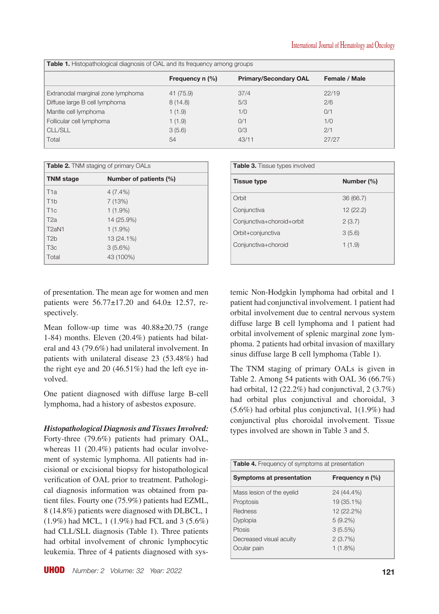| <b>Table 1.</b> Histopathological diagnosis of OAL and its frequency among groups |                   |                              |               |  |  |
|-----------------------------------------------------------------------------------|-------------------|------------------------------|---------------|--|--|
|                                                                                   | Frequency $n$ (%) | <b>Primary/Secondary OAL</b> | Female / Male |  |  |
| Extranodal marginal zone lymphoma                                                 | 41 (75.9)         | 37/4                         | 22/19         |  |  |
| Diffuse large B cell lymphoma                                                     | 8(14.8)           | 5/3                          | 2/6           |  |  |
| Mantle cell lymphoma                                                              | 1(1.9)            | 1/0                          | 0/1           |  |  |
| Follicular cell lymphoma                                                          | 1(1.9)            | 0/1                          | 1/0           |  |  |
| <b>CLL/SLL</b>                                                                    | 3(5.6)            | O/3                          | 2/1           |  |  |
| Total                                                                             | 54                | 43/11                        | 27/27         |  |  |

| <b>Table 2.</b> TNM staging of primary OALs |            |  |  |
|---------------------------------------------|------------|--|--|
| <b>TNM</b> stage<br>Number of patients (%)  |            |  |  |
| T <sub>1</sub> a                            | $4(7.4\%)$ |  |  |
| T <sub>1</sub> b                            | 7 (13%)    |  |  |
| T1c                                         | $1(1.9\%)$ |  |  |
| T2a                                         | 14 (25.9%) |  |  |
| T <sub>2</sub> aN <sub>1</sub>              | $1(1.9\%)$ |  |  |
| T <sub>2</sub> b                            | 13 (24.1%) |  |  |
| T <sub>3</sub> c                            | $3(5.6\%)$ |  |  |
| Total                                       | 43 (100%)  |  |  |

of presentation. The mean age for women and men patients were 56.77±17.20 and 64.0± 12.57, respectively.

Mean follow-up time was  $40.88\pm20.75$  (range 1-84) months. Eleven (20.4%) patients had bilateral and 43 (79.6%) had unilateral involvement. In patients with unilateral disease 23 (53.48%) had the right eye and 20 (46.51%) had the left eye involved.

One patient diagnosed with diffuse large B-cell lymphoma, had a history of asbestos exposure.

*Histopathological Diagnosis and Tissues Involved:* 

Forty-three (79.6%) patients had primary OAL, whereas 11 (20.4%) patients had ocular involvement of systemic lymphoma. All patients had incisional or excisional biopsy for histopathological verification of OAL prior to treatment. Pathological diagnosis information was obtained from patient files. Fourty one (75.9%) patients had EZML, 8 (14.8%) patients were diagnosed with DLBCL, 1 (1.9%) had MCL, 1 (1.9%) had FCL and 3 (5.6%) had CLL/SLL diagnosis (Table 1). Three patients had orbital involvement of chronic lymphocytic leukemia. Three of 4 patients diagnosed with sys-

| <b>Table 3.</b> Tissue types involved |  |  |  |  |
|---------------------------------------|--|--|--|--|
| Number (%)                            |  |  |  |  |
| 36 (66.7)                             |  |  |  |  |
| 12 (22.2)                             |  |  |  |  |
| 2(3.7)                                |  |  |  |  |
| 3(5.6)                                |  |  |  |  |
| 1(1.9)                                |  |  |  |  |
|                                       |  |  |  |  |

temic Non-Hodgkin lymphoma had orbital and 1 patient had conjunctival involvement. 1 patient had orbital involvement due to central nervous system diffuse large B cell lymphoma and 1 patient had orbital involvement of splenic marginal zone lymphoma. 2 patients had orbital invasion of maxillary sinus diffuse large B cell lymphoma (Table 1).

The TNM staging of primary OALs is given in Table 2. Among 54 patients with OAL 36 (66.7%) had orbital,  $12 (22.2\%)$  had conjunctival,  $2 (3.7\%)$ had orbital plus conjunctival and choroidal, 3 (5.6%) had orbital plus conjunctival, 1(1.9%) had conjunctival plus choroidal involvement. Tissue types involved are shown in Table 3 and 5.

| <b>Table 4.</b> Frequency of symptoms at presentation |            |  |  |  |
|-------------------------------------------------------|------------|--|--|--|
| Frequency n (%)<br>Symptoms at presentation           |            |  |  |  |
| Mass lesion of the eyelid                             | 24 (44.4%) |  |  |  |
| Proptosis                                             | 19 (35.1%) |  |  |  |
| <b>Redness</b>                                        | 12 (22.2%) |  |  |  |
| <b>Dyplopia</b>                                       | $5(9.2\%)$ |  |  |  |
| Ptosis                                                | 3(5.5%)    |  |  |  |
| Decreased visual acuity                               | 2(3.7%)    |  |  |  |
| Ocular pain                                           | $1(1.8\%)$ |  |  |  |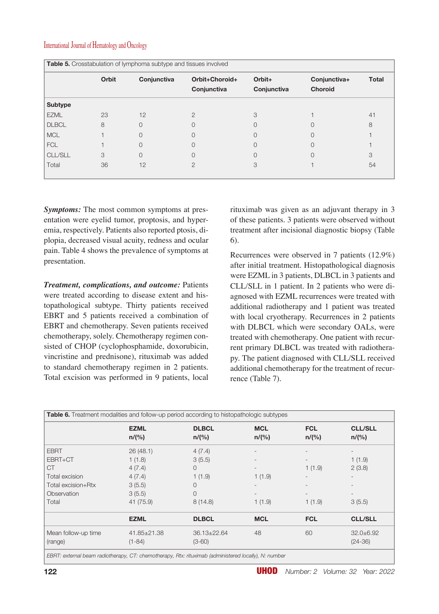|                | Orbit | Conjunctiva | Orbit+Choroid+ | Orbit+      | Conjunctiva+     | <b>Total</b> |
|----------------|-------|-------------|----------------|-------------|------------------|--------------|
|                |       |             | Conjunctiva    | Conjunctiva | <b>Choroid</b>   |              |
| Subtype        |       |             |                |             |                  |              |
| <b>EZML</b>    | 23    | 12          | 2              | 3           |                  | 41           |
| <b>DLBCL</b>   | 8     | $\Omega$    |                | $\Omega$    | $\left( \right)$ | 8            |
| <b>MCL</b>     |       | $\Omega$    |                | 0           | 0                |              |
| <b>FCL</b>     |       | $\Omega$    |                | 0           | 0                |              |
| <b>CLL/SLL</b> | 3     | $\Omega$    |                | 0           | Ω                | 3            |
| Total          | 36    | 12          | $\overline{2}$ | 3           |                  | 54           |

*Symptoms:* The most common symptoms at presentation were eyelid tumor, proptosis, and hyperemia, respectively. Patients also reported ptosis, diplopia, decreased visual acuity, redness and ocular pain. Table 4 shows the prevalence of symptoms at presentation.

*Treatment, complications, and outcome:* Patients were treated according to disease extent and histopathological subtype. Thirty patients received EBRT and 5 patients received a combination of EBRT and chemotherapy. Seven patients received chemotherapy, solely. Chemotherapy regimen consisted of CHOP (cyclophosphamide, doxorubicin, vincristine and prednisone), rituximab was added to standard chemotherapy regimen in 2 patients. Total excision was performed in 9 patients, local rituximab was given as an adjuvant therapy in 3 of these patients. 3 patients were observed without treatment after incisional diagnostic biopsy (Table 6).

Recurrences were observed in 7 patients (12.9%) after initial treatment. Histopathological diagnosis were EZML in 3 patients, DLBCL in 3 patients and CLL/SLL in 1 patient. In 2 patients who were diagnosed with EZML recurrences were treated with additional radiotherapy and 1 patient was treated with local cryotherapy. Recurrences in 2 patients with DLBCL which were secondary OALs, were treated with chemotherapy. One patient with recurrent primary DLBCL was treated with radiotherapy. The patient diagnosed with CLL/SLL received additional chemotherapy for the treatment of recurrence (Table 7).

|                     | <b>EZML</b><br>n/(%) | <b>DLBCL</b><br>n/(%) | <b>MCL</b><br>n/(%) | <b>FCL</b><br>n/(%) | <b>CLL/SLL</b><br>n/(%) |
|---------------------|----------------------|-----------------------|---------------------|---------------------|-------------------------|
| <b>EBRT</b>         | 26(48.1)             | 4(7.4)                | $\overline{a}$      |                     |                         |
| EBRT+CT             | 1(1.8)               | 3(5.5)                |                     |                     | 1(1.9)                  |
| <b>CT</b>           | 4(7.4)               | 0                     | $\qquad \qquad$     | 1(1.9)              | 2(3.8)                  |
| Total excision      | 4(7.4)               | 1(1.9)                | 1(1.9)              |                     |                         |
| Total excision+Rtx  | 3(5.5)               | 0                     |                     |                     |                         |
| Observation         | 3(5.5)               | 0                     | $\overline{a}$      |                     |                         |
| Total               | 41 (75.9)            | 8(14.8)               | 1(1.9)              | 1(1.9)              | 3(5.5)                  |
|                     | <b>EZML</b>          | <b>DLBCL</b>          | <b>MCL</b>          | <b>FCL</b>          | <b>CLL/SLL</b>          |
| Mean follow-up time | $41.85 \pm 21.38$    | $36.13 \pm 22.64$     | 48                  | 60                  | $32.0 \pm 6.92$         |
| (range)             | $(1 - 84)$           | $(3 - 60)$            |                     |                     | $(24 - 36)$             |

*EBRT: external beam radiotherapy, CT: chemotherapy, Rtx: rituximab (administered locally), N: number*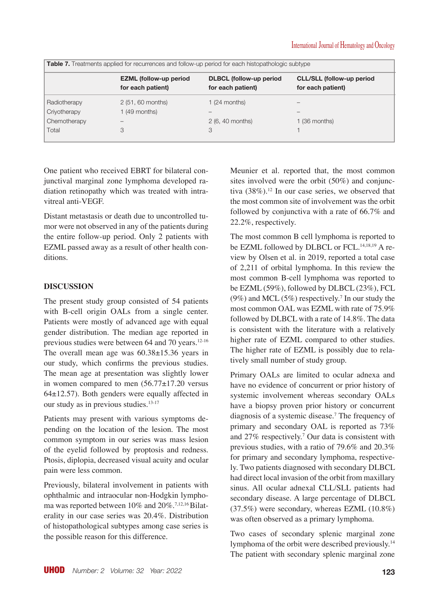| <b>Table 7.</b> Treatments applied for recurrences and follow-up period for each histopathologic subtype |                                                    |                                                     |                                                       |  |
|----------------------------------------------------------------------------------------------------------|----------------------------------------------------|-----------------------------------------------------|-------------------------------------------------------|--|
|                                                                                                          | <b>EZML</b> (follow-up period<br>for each patient) | <b>DLBCL</b> (follow-up period<br>for each patient) | <b>CLL/SLL (follow-up period</b><br>for each patient) |  |
| Radiotherapy                                                                                             | 2 (51, 60 months)                                  | 1 (24 months)                                       |                                                       |  |
| Criyotherapy                                                                                             | 1 (49 months)                                      |                                                     |                                                       |  |
| Chemotherapy                                                                                             |                                                    | 2 (6, 40 months)                                    | 1 (36 months)                                         |  |
| Total                                                                                                    | 3                                                  | 3                                                   |                                                       |  |

One patient who received EBRT for bilateral conjunctival marginal zone lymphoma developed radiation retinopathy which was treated with intravitreal anti-VEGF.

Distant metastasis or death due to uncontrolled tumor were not observed in any of the patients during the entire follow-up period. Only 2 patients with EZML passed away as a result of other health conditions.

# **DISCUSSION**

The present study group consisted of 54 patients with B-cell origin OALs from a single center. Patients were mostly of advanced age with equal gender distribution. The median age reported in previous studies were between 64 and 70 years.<sup>12-16</sup> The overall mean age was  $60.38 \pm 15.36$  years in our study, which confirms the previous studies. The mean age at presentation was slightly lower in women compared to men  $(56.77 \pm 17.20)$  versus 64±12.57). Both genders were equally affected in our study as in previous studies.<sup>13-17</sup>

Patients may present with various symptoms depending on the location of the lesion. The most common symptom in our series was mass lesion of the eyelid followed by proptosis and redness. Ptosis, diplopia, decreased visual acuity and ocular pain were less common.

Previously, bilateral involvement in patients with ophthalmic and intraocular non-Hodgkin lymphoma was reported between 10% and 20%.7,12,16 Bilaterality in our case series was 20.4%. Distribution of histopathological subtypes among case series is the possible reason for this difference.

Meunier et al. reported that, the most common sites involved were the orbit (50%) and conjunctiva  $(38\%)$ .<sup>12</sup> In our case series, we observed that the most common site of involvement was the orbit followed by conjunctiva with a rate of 66.7% and 22.2%, respectively.

The most common B cell lymphoma is reported to be EZML followed by DLBCL or FCL.<sup>14,18,19</sup> A review by Olsen et al. in 2019, reported a total case of 2,211 of orbital lymphoma. In this review the most common B-cell lymphoma was reported to be EZML (59%), followed by DLBCL (23%), FCL  $(9\%)$  and MCL  $(5\%)$  respectively.<sup>7</sup> In our study the most common OAL was EZML with rate of 75.9% followed by DLBCL with a rate of 14.8%. The data is consistent with the literature with a relatively higher rate of EZML compared to other studies. The higher rate of EZML is possibly due to relatively small number of study group.

Primary OALs are limited to ocular adnexa and have no evidence of concurrent or prior history of systemic involvement whereas secondary OALs have a biopsy proven prior history or concurrent diagnosis of a systemic disease.7 The frequency of primary and secondary OAL is reported as 73% and 27% respectively.7 Our data is consistent with previous studies, with a ratio of 79.6% and 20.3% for primary and secondary lymphoma, respectively. Two patients diagnosed with secondary DLBCL had direct local invasion of the orbit from maxillary sinus. All ocular adnexal CLL/SLL patients had secondary disease. A large percentage of DLBCL (37.5%) were secondary, whereas EZML (10.8%) was often observed as a primary lymphoma.

Two cases of secondary splenic marginal zone lymphoma of the orbit were described previously.14 The patient with secondary splenic marginal zone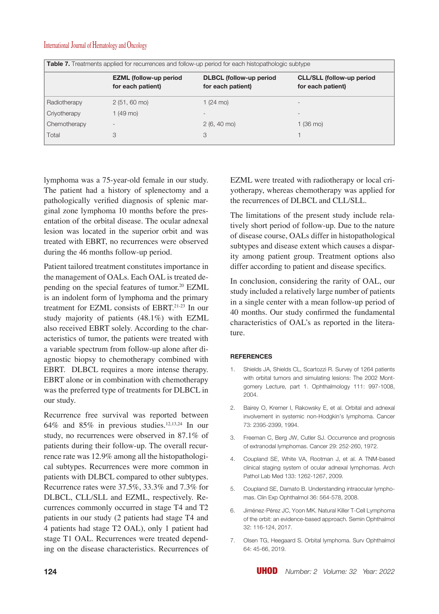| <b>Table 7.</b> Treatments applied for recurrences and follow-up period for each histopathologic subtype |                                                    |                                                     |                                                       |  |
|----------------------------------------------------------------------------------------------------------|----------------------------------------------------|-----------------------------------------------------|-------------------------------------------------------|--|
|                                                                                                          | <b>EZML</b> (follow-up period<br>for each patient) | <b>DLBCL</b> (follow-up period<br>for each patient) | <b>CLL/SLL (follow-up period</b><br>for each patient) |  |
| Radiotherapy                                                                                             | $2(51, 60 \text{ mo})$                             | 1 $(24 \text{ mo})$                                 | $\overline{\phantom{a}}$                              |  |
| Criyotherapy                                                                                             | $1(49 \text{ mo})$                                 | $\overline{\phantom{a}}$                            | $\overline{\phantom{a}}$                              |  |
| Chemotherapy                                                                                             | $\overline{\phantom{a}}$                           | $2(6, 40 \text{ mo})$                               | 1 (36 mo)                                             |  |
| Total                                                                                                    | 3                                                  | 3                                                   |                                                       |  |

lymphoma was a 75-year-old female in our study. The patient had a history of splenectomy and a pathologically verified diagnosis of splenic marginal zone lymphoma 10 months before the presentation of the orbital disease. The ocular adnexal lesion was located in the superior orbit and was treated with EBRT, no recurrences were observed during the 46 months follow-up period.

Patient tailored treatment constitutes importance in the management of OALs. Each OAL is treated depending on the special features of tumor.<sup>20</sup> EZML is an indolent form of lymphoma and the primary treatment for EZML consists of EBRT.21-23 In our study majority of patients (48.1%) with EZML also received EBRT solely. According to the characteristics of tumor, the patients were treated with a variable spectrum from follow-up alone after diagnostic biopsy to chemotherapy combined with EBRT. DLBCL requires a more intense therapy. EBRT alone or in combination with chemotherapy was the preferred type of treatments for DLBCL in our study.

Recurrence free survival was reported between 64% and 85% in previous studies.12,13,24 In our study, no recurrences were observed in 87.1% of patients during their follow-up. The overall recurrence rate was 12.9% among all the histopathological subtypes. Recurrences were more common in patients with DLBCL compared to other subtypes. Recurrence rates were 37.5%, 33.3% and 7.3% for DLBCL, CLL/SLL and EZML, respectively. Recurrences commonly occurred in stage T4 and T2 patients in our study (2 patients had stage T4 and 4 patients had stage T2 OAL), only 1 patient had stage T1 OAL. Recurrences were treated depending on the disease characteristics. Recurrences of EZML were treated with radiotherapy or local criyotherapy, whereas chemotherapy was applied for the recurrences of DLBCL and CLL/SLL.

The limitations of the present study include relatively short period of follow-up. Due to the nature of disease course, OALs differ in histopathological subtypes and disease extent which causes a disparity among patient group. Treatment options also differ according to patient and disease specifics.

In conclusion, considering the rarity of OAL, our study included a relatively large number of patients in a single center with a mean follow-up period of 40 months. Our study confirmed the fundamental characteristics of OAL's as reported in the literature.

#### **REFERENCES**

- 1. Shields JA, Shields CL, Scartozzi R. Survey of 1264 patients with orbital tumors and simulating lesions: The 2002 Montgomery Lecture, part 1. Ophthalmology 111: 997-1008, 2004.
- 2. Bairey O, Kremer I, Rakowsky E, et al. Orbital and adnexal involvement in systemic non-Hodgkin's lymphoma. Cancer 73: 2395-2399, 1994.
- 3. Freeman C, Berg JW, Cutler SJ. Occurrence and prognosis of extranodal lymphomas. Cancer 29: 252-260, 1972.
- 4. Coupland SE, White VA, Rootman J, et al. A TNM-based clinical staging system of ocular adnexal lymphomas. Arch Pathol Lab Med 133: 1262-1267, 2009.
- 5. Coupland SE, Damato B. Understanding intraocular lymphomas. Clin Exp Ophthalmol 36: 564-578, 2008.
- 6. Jiménez-Pérez JC, Yoon MK. Natural Killer T-Cell Lymphoma of the orbit: an evidence-based approach. Semin Ophthalmol 32: 116-124, 2017.
- 7. Olsen TG, Heegaard S. Orbital lymphoma. Surv Ophthalmol 64: 45-66, 2019.